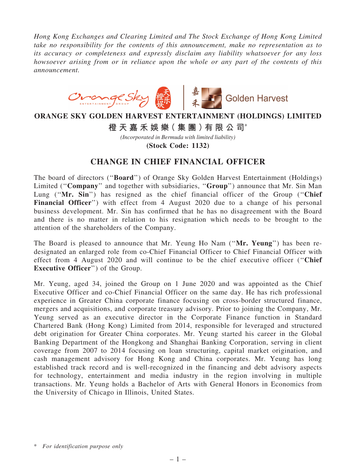*Hong Kong Exchanges and Clearing Limited and The Stock Exchange of Hong Kong Limited take no responsibility for the contents of this announcement, make no representation as to its accuracy or completeness and expressly disclaim any liability whatsoever for any loss howsoever arising from or in reliance upon the whole or any part of the contents of this announcement.*



## **ORANGE SKY GOLDEN HARVEST ENTERTAINMENT (HOLDINGS) LIMITED**

**橙 天 嘉 禾 娛 樂( 集 團 )有 限 公 司**\*

*(Incorporated in Bermuda with limited liability)*

**(Stock Code: 1132)**

## CHANGE IN CHIEF FINANCIAL OFFICER

The board of directors (''Board'') of Orange Sky Golden Harvest Entertainment (Holdings) Limited ("Company" and together with subsidiaries, "Group") announce that Mr. Sin Man Lung ("Mr. Sin") has resigned as the chief financial officer of the Group ("Chief") Financial Officer") with effect from 4 August 2020 due to a change of his personal business development. Mr. Sin has confirmed that he has no disagreement with the Board and there is no matter in relation to his resignation which needs to be brought to the attention of the shareholders of the Company.

The Board is pleased to announce that Mr. Yeung Ho Nam (''Mr. Yeung'') has been redesignated an enlarged role from co-Chief Financial Officer to Chief Financial Officer with effect from 4 August 2020 and will continue to be the chief executive officer (''Chief Executive Officer'') of the Group.

Mr. Yeung, aged 34, joined the Group on 1 June 2020 and was appointed as the Chief Executive Officer and co-Chief Financial Officer on the same day. He has rich professional experience in Greater China corporate finance focusing on cross-border structured finance, mergers and acquisitions, and corporate treasury advisory. Prior to joining the Company, Mr. Yeung served as an executive director in the Corporate Finance function in Standard Chartered Bank (Hong Kong) Limited from 2014, responsible for leveraged and structured debt origination for Greater China corporates. Mr. Yeung started his career in the Global Banking Department of the Hongkong and Shanghai Banking Corporation, serving in client coverage from 2007 to 2014 focusing on loan structuring, capital market origination, and cash management advisory for Hong Kong and China corporates. Mr. Yeung has long established track record and is well-recognized in the financing and debt advisory aspects for technology, entertainment and media industry in the region involving in multiple transactions. Mr. Yeung holds a Bachelor of Arts with General Honors in Economics from the University of Chicago in Illinois, United States.

<sup>\*</sup> *For identification purpose only*